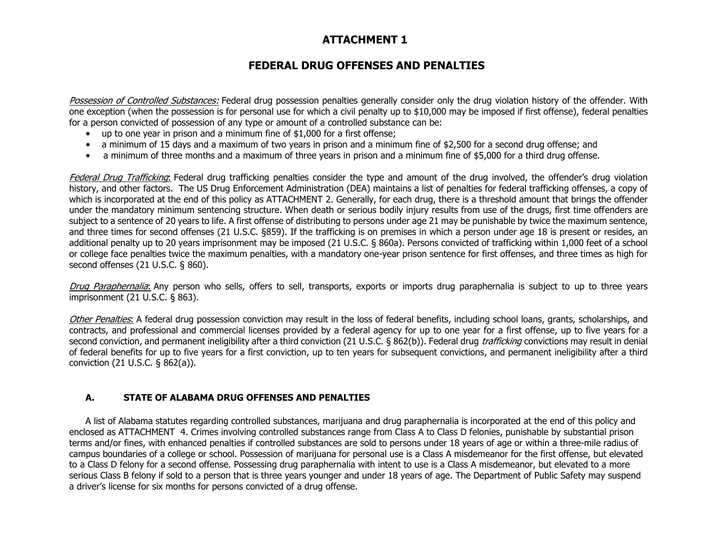## **FEDERAL DRUG OFFENSES AND PENALTIES**

Possession of Controlled Substances: Federal drug possession penalties generally consider only the drug violation history of the offender. With one exception (when the possession is for personal use for which a civil penalty up to \$10,000 may be imposed if first offense), federal penalties for a person convicted of possession of any type or amount of a controlled substance can be:

- up to one year in prison and a minimum fine of \$1,000 for a first offense;
- a minimum of 15 days and a maximum of two years in prison and a minimum fine of \$2,500 for a second drug offense; and
- a minimum of three months and a maximum of three years in prison and a minimum fine of \$5,000 for a third drug offense.

Federal Drug Trafficking: Federal drug trafficking penalties consider the type and amount of the drug involved, the offender's drug violation history, and other factors. The US Drug Enforcement Administration (DEA) maintains a list of penalties for federal trafficking offenses, a copy of which is incorporated at the end of this policy as ATTACHMENT 2. Generally, for each drug, there is a threshold amount that brings the offender under the mandatory minimum sentencing structure. When death or serious bodily injury results from use of the drugs, first time offenders are subject to a sentence of 20 years to life. A first offense of distributing to persons under age 21 may be punishable by twice the maximum sentence, and three times for second offenses (21 U.S.C. §859). If the trafficking is on premises in which a person under age 18 is present or resides, an additional penalty up to 20 years imprisonment may be imposed (21 U.S.C. § 860a). Persons convicted of trafficking within 1,000 feet of a school or college face penalties twice the maximum penalties, with a mandatory one-year prison sentence for first offenses, and three times as high for second offenses (21 U.S.C. § 860).

Drug Paraphernalia: Any person who sells, offers to sell, transports, exports or imports drug paraphernalia is subject to up to three years imprisonment (21 U.S.C. § 863).

Other Penalties: A federal drug possession conviction may result in the loss of federal benefits, including school loans, grants, scholarships, and contracts, and professional and commercial licenses provided by a federal agency for up to one year for a first offense, up to five years for a second conviction, and permanent ineligibility after a third conviction (21 U.S.C. § 862(b)). Federal drug *trafficking* convictions may result in denial of federal benefits for up to five years for a first conviction, up to ten years for subsequent convictions, and permanent ineligibility after a third conviction (21 U.S.C. § 862(a)).

## **A. STATE OF ALABAMA DRUG OFFENSES AND PENALTIES**

A list of Alabama statutes regarding controlled substances, marijuana and drug paraphernalia is incorporated at the end of this policy and enclosed as ATTACHMENT 4. Crimes involving controlled substances range from Class A to Class D felonies, punishable by substantial prison terms and/or fines, with enhanced penalties if controlled substances are sold to persons under 18 years of age or within a three-mile radius of campus boundaries of a college or school. Possession of marijuana for personal use is a Class A misdemeanor for the first offense, but elevated to a Class D felony for a second offense. Possessing drug paraphernalia with intent to use is a Class A misdemeanor, but elevated to a more serious Class B felony if sold to a person that is three years younger and under 18 years of age. The Department of Public Safety may suspend a driver's license for six months for persons convicted of a drug offense.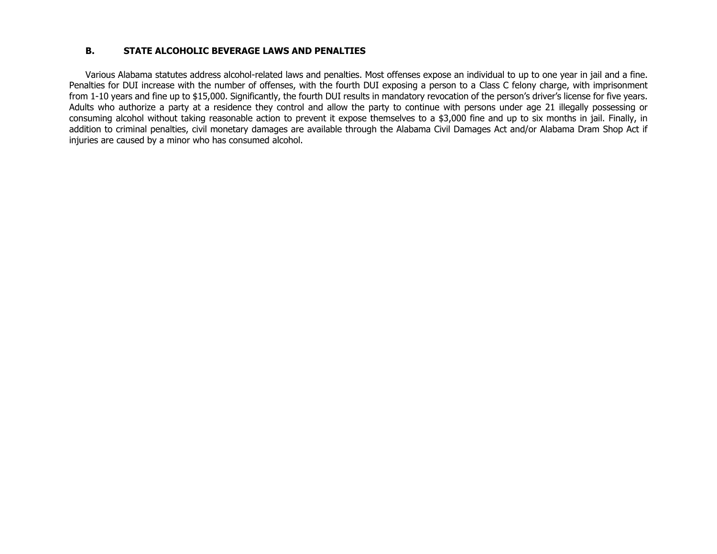### **B. STATE ALCOHOLIC BEVERAGE LAWS AND PENALTIES**

Various Alabama statutes address alcohol-related laws and penalties. Most offenses expose an individual to up to one year in jail and a fine. Penalties for DUI increase with the number of offenses, with the fourth DUI exposing a person to a Class C felony charge, with imprisonment from 1-10 years and fine up to \$15,000. Significantly, the fourth DUI results in mandatory revocation of the person's driver's license for five years. Adults who authorize a party at a residence they control and allow the party to continue with persons under age 21 illegally possessing or consuming alcohol without taking reasonable action to prevent it expose themselves to a \$3,000 fine and up to six months in jail. Finally, in addition to criminal penalties, civil monetary damages are available through the Alabama Civil Damages Act and/or Alabama Dram Shop Act if injuries are caused by a minor who has consumed alcohol.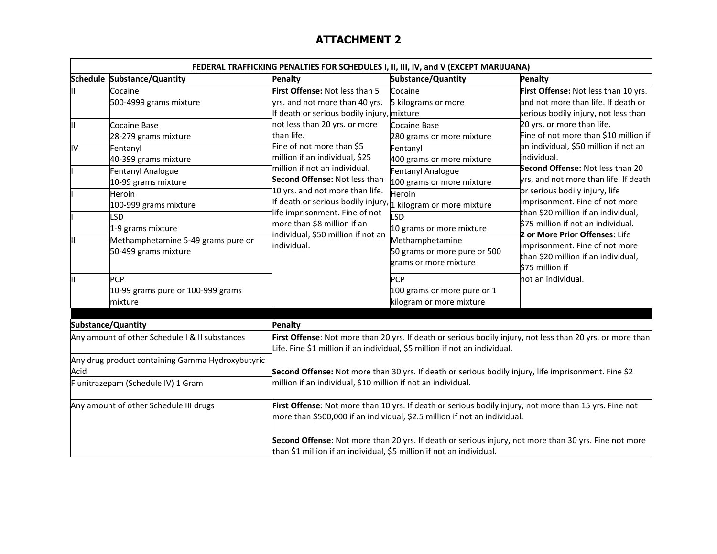| FEDERAL TRAFFICKING PENALTIES FOR SCHEDULES I, II, III, IV, and V (EXCEPT MARIJUANA) |                                                                                                                                                                                                                                                                |                                                                                                                                                                                                                                                                                                                          |                                                                                                                                                                                                                                                         |                                                                                                                                                                                                                                                                                                                                                                                               |  |  |
|--------------------------------------------------------------------------------------|----------------------------------------------------------------------------------------------------------------------------------------------------------------------------------------------------------------------------------------------------------------|--------------------------------------------------------------------------------------------------------------------------------------------------------------------------------------------------------------------------------------------------------------------------------------------------------------------------|---------------------------------------------------------------------------------------------------------------------------------------------------------------------------------------------------------------------------------------------------------|-----------------------------------------------------------------------------------------------------------------------------------------------------------------------------------------------------------------------------------------------------------------------------------------------------------------------------------------------------------------------------------------------|--|--|
|                                                                                      | Schedule Substance/Quantity                                                                                                                                                                                                                                    | <b>Penalty</b>                                                                                                                                                                                                                                                                                                           | Substance/Quantity                                                                                                                                                                                                                                      | <b>Penalty</b>                                                                                                                                                                                                                                                                                                                                                                                |  |  |
| Ш                                                                                    | Cocaine<br>500-4999 grams mixture                                                                                                                                                                                                                              | First Offense: Not less than 5<br>yrs. and not more than 40 yrs.<br>If death or serious bodily injury, mixture                                                                                                                                                                                                           | Cocaine<br>5 kilograms or more                                                                                                                                                                                                                          | First Offense: Not less than 10 yrs.<br>and not more than life. If death or<br>serious bodily injury, not less than                                                                                                                                                                                                                                                                           |  |  |
| Ш<br>l١v                                                                             | Cocaine Base<br>28-279 grams mixture<br>Fentanyl                                                                                                                                                                                                               | not less than 20 yrs. or more<br>than life.<br>Fine of not more than \$5                                                                                                                                                                                                                                                 | Cocaine Base<br>280 grams or more mixture<br>Fentanyl                                                                                                                                                                                                   | 20 yrs. or more than life.<br>Fine of not more than \$10 million if<br>an individual, \$50 million if not an                                                                                                                                                                                                                                                                                  |  |  |
| II<br>Ш                                                                              | 40-399 grams mixture<br><b>Fentanyl Analogue</b><br>10-99 grams mixture<br>Heroin<br>100-999 grams mixture<br><b>LSD</b><br>1-9 grams mixture<br>Methamphetamine 5-49 grams pure or<br>50-499 grams mixture<br><b>PCP</b><br>10-99 grams pure or 100-999 grams | million if an individual, \$25<br>million if not an individual.<br>Second Offense: Not less than<br>10 yrs. and not more than life.<br>If death or serious bodily injury, 1 kilogram or more mixture<br>ife imprisonment. Fine of not<br>more than \$8 million if an<br>ndividual, \$50 million if not an<br>individual. | 400 grams or more mixture<br><b>Fentanyl Analogue</b><br>100 grams or more mixture<br>Heroin<br>SD<br>10 grams or more mixture<br>Methamphetamine<br>50 grams or more pure or 500<br>grams or more mixture<br><b>PCP</b><br>100 grams or more pure or 1 | individual.<br>Second Offense: Not less than 20<br>yrs, and not more than life. If death<br>or serious bodily injury, life<br>imprisonment. Fine of not more<br>than \$20 million if an individual,<br>\$75 million if not an individual.<br>2 or More Prior Offenses: Life<br>imprisonment. Fine of not more<br>than \$20 million if an individual,<br>\$75 million if<br>not an individual. |  |  |
|                                                                                      | mixture                                                                                                                                                                                                                                                        |                                                                                                                                                                                                                                                                                                                          | kilogram or more mixture                                                                                                                                                                                                                                |                                                                                                                                                                                                                                                                                                                                                                                               |  |  |
| Substance/Quantity                                                                   |                                                                                                                                                                                                                                                                | <b>Penalty</b>                                                                                                                                                                                                                                                                                                           |                                                                                                                                                                                                                                                         |                                                                                                                                                                                                                                                                                                                                                                                               |  |  |
| Any amount of other Schedule I & II substances                                       |                                                                                                                                                                                                                                                                | First Offense: Not more than 20 yrs. If death or serious bodily injury, not less than 20 yrs. or more than<br>Life. Fine \$1 million if an individual, \$5 million if not an individual.                                                                                                                                 |                                                                                                                                                                                                                                                         |                                                                                                                                                                                                                                                                                                                                                                                               |  |  |
| Any drug product containing Gamma Hydroxybutyric<br>Acid                             |                                                                                                                                                                                                                                                                | Second Offense: Not more than 30 yrs. If death or serious bodily injury, life imprisonment. Fine \$2                                                                                                                                                                                                                     |                                                                                                                                                                                                                                                         |                                                                                                                                                                                                                                                                                                                                                                                               |  |  |
| Flunitrazepam (Schedule IV) 1 Gram                                                   |                                                                                                                                                                                                                                                                | million if an individual, \$10 million if not an individual.                                                                                                                                                                                                                                                             |                                                                                                                                                                                                                                                         |                                                                                                                                                                                                                                                                                                                                                                                               |  |  |
| Any amount of other Schedule III drugs                                               |                                                                                                                                                                                                                                                                | First Offense: Not more than 10 yrs. If death or serious bodily injury, not more than 15 yrs. Fine not<br>more than \$500,000 if an individual, \$2.5 million if not an individual.                                                                                                                                      |                                                                                                                                                                                                                                                         |                                                                                                                                                                                                                                                                                                                                                                                               |  |  |
|                                                                                      |                                                                                                                                                                                                                                                                |                                                                                                                                                                                                                                                                                                                          | Second Offense: Not more than 20 yrs. If death or serious injury, not more than 30 yrs. Fine not more<br>than \$1 million if an individual, \$5 million if not an individual.                                                                           |                                                                                                                                                                                                                                                                                                                                                                                               |  |  |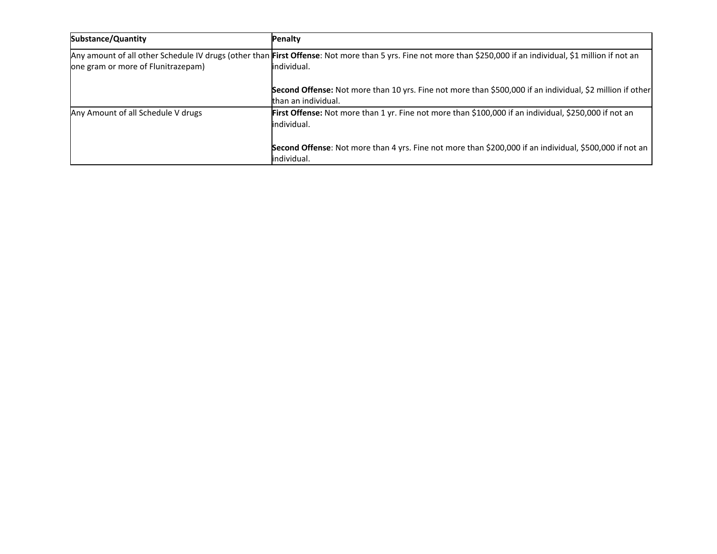| <b>Substance/Quantity</b>          | Penalty                                                                                                                                                                       |
|------------------------------------|-------------------------------------------------------------------------------------------------------------------------------------------------------------------------------|
| one gram or more of Flunitrazepam) | Any amount of all other Schedule IV drugs (other than First Offense: Not more than 5 yrs. Fine not more than \$250,000 if an individual, \$1 million if not an<br>individual. |
|                                    | Second Offense: Not more than 10 yrs. Fine not more than \$500,000 if an individual, \$2 million if other<br>than an individual.                                              |
| Any Amount of all Schedule V drugs | First Offense: Not more than 1 yr. Fine not more than \$100,000 if an individual, \$250,000 if not an<br>individual.                                                          |
|                                    | Second Offense: Not more than 4 yrs. Fine not more than \$200,000 if an individual, \$500,000 if not an<br>individual.                                                        |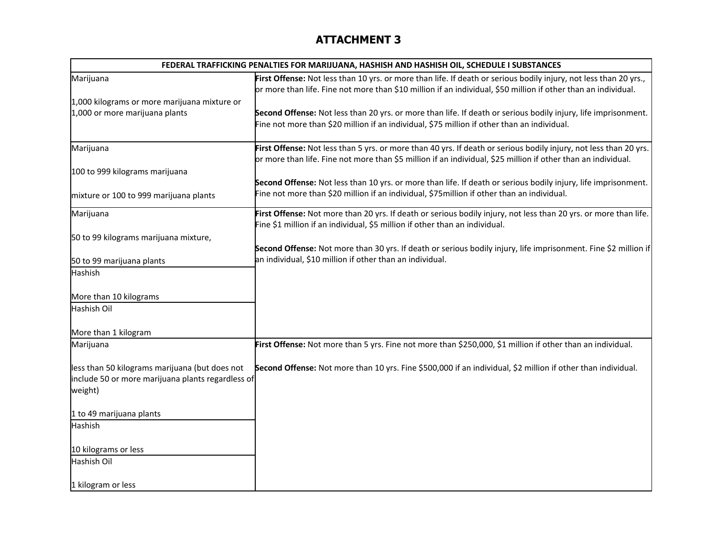| FEDERAL TRAFFICKING PENALTIES FOR MARIJUANA, HASHISH AND HASHISH OIL, SCHEDULE I SUBSTANCES                    |                                                                                                                                                                                                                                     |  |  |  |  |
|----------------------------------------------------------------------------------------------------------------|-------------------------------------------------------------------------------------------------------------------------------------------------------------------------------------------------------------------------------------|--|--|--|--|
| Marijuana                                                                                                      | First Offense: Not less than 10 yrs. or more than life. If death or serious bodily injury, not less than 20 yrs.,<br>or more than life. Fine not more than \$10 million if an individual, \$50 million if other than an individual. |  |  |  |  |
| 1,000 kilograms or more marijuana mixture or                                                                   |                                                                                                                                                                                                                                     |  |  |  |  |
| 1,000 or more marijuana plants                                                                                 | Second Offense: Not less than 20 yrs. or more than life. If death or serious bodily injury, life imprisonment.<br>Fine not more than \$20 million if an individual, \$75 million if other than an individual.                       |  |  |  |  |
| Marijuana                                                                                                      | First Offense: Not less than 5 yrs. or more than 40 yrs. If death or serious bodily injury, not less than 20 yrs.                                                                                                                   |  |  |  |  |
|                                                                                                                | or more than life. Fine not more than \$5 million if an individual, \$25 million if other than an individual.                                                                                                                       |  |  |  |  |
| 100 to 999 kilograms marijuana                                                                                 |                                                                                                                                                                                                                                     |  |  |  |  |
|                                                                                                                | Second Offense: Not less than 10 yrs. or more than life. If death or serious bodily injury, life imprisonment.                                                                                                                      |  |  |  |  |
| mixture or 100 to 999 marijuana plants                                                                         | Fine not more than \$20 million if an individual, \$75 million if other than an individual.                                                                                                                                         |  |  |  |  |
| Marijuana                                                                                                      | First Offense: Not more than 20 yrs. If death or serious bodily injury, not less than 20 yrs. or more than life.                                                                                                                    |  |  |  |  |
|                                                                                                                | Fine \$1 million if an individual, \$5 million if other than an individual.                                                                                                                                                         |  |  |  |  |
| 50 to 99 kilograms marijuana mixture,                                                                          | Second Offense: Not more than 30 yrs. If death or serious bodily injury, life imprisonment. Fine \$2 million if                                                                                                                     |  |  |  |  |
|                                                                                                                | an individual, \$10 million if other than an individual.                                                                                                                                                                            |  |  |  |  |
| 50 to 99 marijuana plants<br><b>Hashish</b>                                                                    |                                                                                                                                                                                                                                     |  |  |  |  |
|                                                                                                                |                                                                                                                                                                                                                                     |  |  |  |  |
| More than 10 kilograms                                                                                         |                                                                                                                                                                                                                                     |  |  |  |  |
| Hashish Oil                                                                                                    |                                                                                                                                                                                                                                     |  |  |  |  |
| More than 1 kilogram                                                                                           |                                                                                                                                                                                                                                     |  |  |  |  |
| Marijuana                                                                                                      | First Offense: Not more than 5 yrs. Fine not more than \$250,000, \$1 million if other than an individual.                                                                                                                          |  |  |  |  |
| less than 50 kilograms marijuana (but does not<br>include 50 or more marijuana plants regardless of<br>weight) | Second Offense: Not more than 10 yrs. Fine \$500,000 if an individual, \$2 million if other than individual.                                                                                                                        |  |  |  |  |
| 1 to 49 marijuana plants                                                                                       |                                                                                                                                                                                                                                     |  |  |  |  |
| Hashish                                                                                                        |                                                                                                                                                                                                                                     |  |  |  |  |
| 10 kilograms or less                                                                                           |                                                                                                                                                                                                                                     |  |  |  |  |
| Hashish Oil                                                                                                    |                                                                                                                                                                                                                                     |  |  |  |  |
| 1 kilogram or less                                                                                             |                                                                                                                                                                                                                                     |  |  |  |  |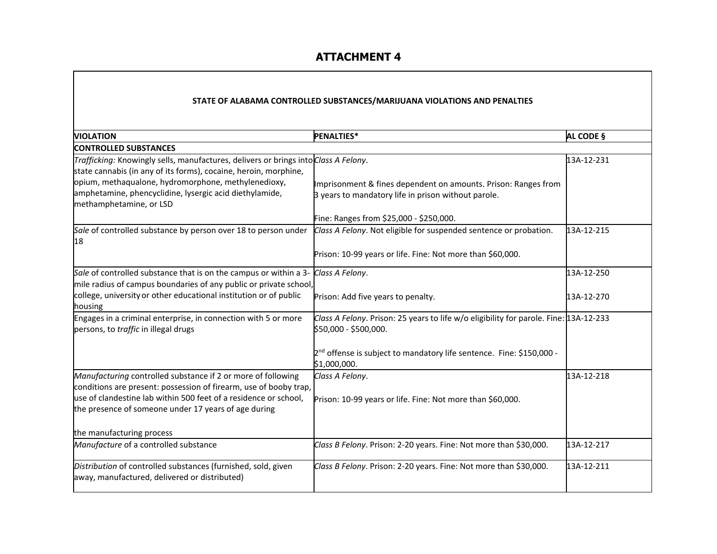### **STATE OF ALABAMA CONTROLLED SUBSTANCES/MARIJUANA VIOLATIONS AND PENALTIES**

| <b>VIOLATION</b>                                                                                                                                        | <b>PENALTIES*</b>                                                                                                     | AL CODE §  |
|---------------------------------------------------------------------------------------------------------------------------------------------------------|-----------------------------------------------------------------------------------------------------------------------|------------|
| <b>CONTROLLED SUBSTANCES</b>                                                                                                                            |                                                                                                                       |            |
| Trafficking: Knowingly sells, manufactures, delivers or brings into Class A Felony.<br>state cannabis (in any of its forms), cocaine, heroin, morphine, |                                                                                                                       | 13A-12-231 |
| opium, methaqualone, hydromorphone, methylenedioxy,<br>amphetamine, phencyclidine, lysergic acid diethylamide,<br>methamphetamine, or LSD               | Imprisonment & fines dependent on amounts. Prison: Ranges from<br>3 years to mandatory life in prison without parole. |            |
|                                                                                                                                                         | Fine: Ranges from \$25,000 - \$250,000.                                                                               |            |
| Sale of controlled substance by person over 18 to person under<br>18                                                                                    | Class A Felony. Not eligible for suspended sentence or probation.                                                     | 13A-12-215 |
|                                                                                                                                                         | Prison: 10-99 years or life. Fine: Not more than \$60,000.                                                            |            |
| Sale of controlled substance that is on the campus or within a 3-<br>mile radius of campus boundaries of any public or private school,                  | Class A Felony.                                                                                                       | 13A-12-250 |
| college, university or other educational institution or of public<br>housing                                                                            | Prison: Add five years to penalty.                                                                                    | 13A-12-270 |
| Engages in a criminal enterprise, in connection with 5 or more<br>persons, to traffic in illegal drugs                                                  | Class A Felony. Prison: 25 years to life w/o eligibility for parole. Fine: 13A-12-233<br>\$50,000 - \$500,000.        |            |
|                                                                                                                                                         | 2 <sup>nd</sup> offense is subject to mandatory life sentence. Fine: \$150,000 -<br>\$1,000,000.                      |            |
| Manufacturing controlled substance if 2 or more of following<br>conditions are present: possession of firearm, use of booby trap,                       | Class A Felony.                                                                                                       | 13A-12-218 |
| use of clandestine lab within 500 feet of a residence or school,<br>the presence of someone under 17 years of age during                                | Prison: 10-99 years or life. Fine: Not more than \$60,000.                                                            |            |
| the manufacturing process                                                                                                                               |                                                                                                                       |            |
| Manufacture of a controlled substance                                                                                                                   | Class B Felony. Prison: 2-20 years. Fine: Not more than \$30,000.                                                     | 13A-12-217 |
| Distribution of controlled substances (furnished, sold, given<br>away, manufactured, delivered or distributed)                                          | Class B Felony. Prison: 2-20 years. Fine: Not more than \$30,000.                                                     | 13A-12-211 |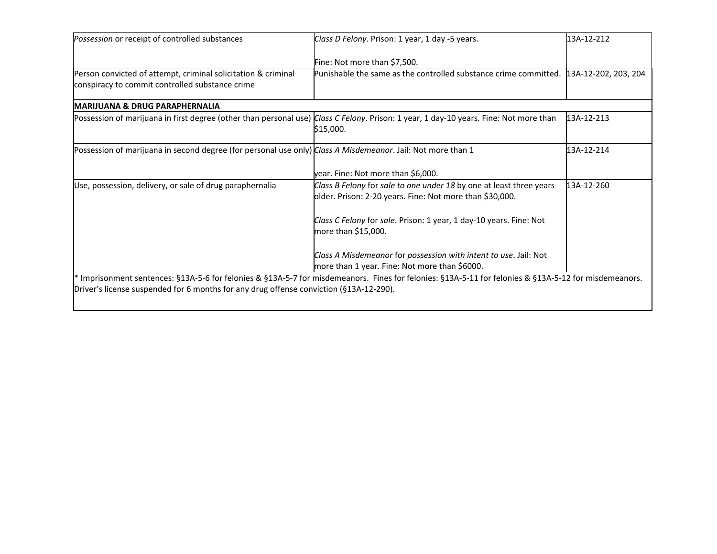| Possession or receipt of controlled substances                                                              | Class D Felony. Prison: 1 year, 1 day -5 years.                                                                                                       | 13A-12-212 |
|-------------------------------------------------------------------------------------------------------------|-------------------------------------------------------------------------------------------------------------------------------------------------------|------------|
|                                                                                                             | Fine: Not more than \$7,500.                                                                                                                          |            |
| Person convicted of attempt, criminal solicitation & criminal                                               | Punishable the same as the controlled substance crime committed. 13A-12-202, 203, 204                                                                 |            |
| conspiracy to commit controlled substance crime                                                             |                                                                                                                                                       |            |
| <b>IMARIJUANA &amp; DRUG PARAPHERNALIA</b>                                                                  |                                                                                                                                                       |            |
|                                                                                                             | Possession of marijuana in first degree (other than personal use) Class C Felony. Prison: 1 year, 1 day-10 years. Fine: Not more than<br>\$15,000.    | 13A-12-213 |
| Possession of marijuana in second degree (for personal use only) Class A Misdemeanor. Jail: Not more than 1 |                                                                                                                                                       | 13A-12-214 |
|                                                                                                             | year. Fine: Not more than \$6,000.                                                                                                                    |            |
| Use, possession, delivery, or sale of drug paraphernalia                                                    | Class B Felony for sale to one under 18 by one at least three years                                                                                   | 13A-12-260 |
|                                                                                                             | older. Prison: 2-20 years. Fine: Not more than \$30,000.                                                                                              |            |
|                                                                                                             | Class C Felony for sale. Prison: 1 year, 1 day-10 years. Fine: Not                                                                                    |            |
|                                                                                                             | more than \$15,000.                                                                                                                                   |            |
|                                                                                                             | Class A Misdemeanor for possession with intent to use. Jail: Not                                                                                      |            |
|                                                                                                             | more than 1 year. Fine: Not more than \$6000.                                                                                                         |            |
|                                                                                                             | * Imprisonment sentences: §13A-5-6 for felonies & §13A-5-7 for misdemeanors. Fines for felonies: §13A-5-11 for felonies & §13A-5-12 for misdemeanors. |            |
| Driver's license suspended for 6 months for any drug offense conviction (§13A-12-290).                      |                                                                                                                                                       |            |
|                                                                                                             |                                                                                                                                                       |            |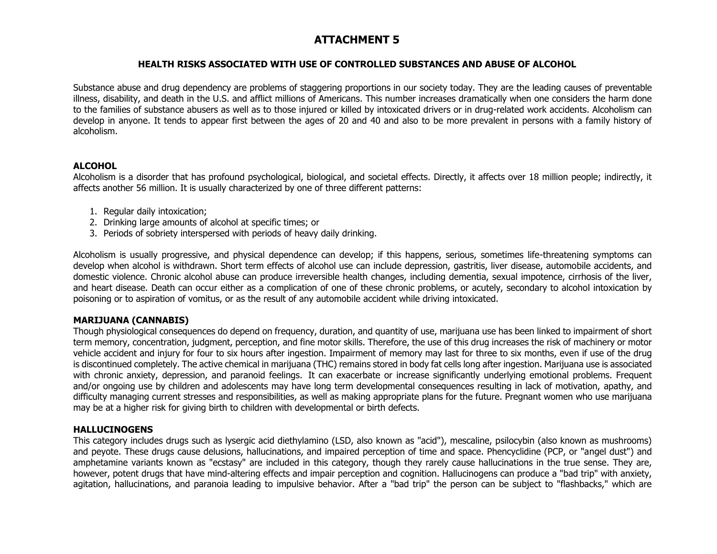### **HEALTH RISKS ASSOCIATED WITH USE OF CONTROLLED SUBSTANCES AND ABUSE OF ALCOHOL**

Substance abuse and drug dependency are problems of staggering proportions in our society today. They are the leading causes of preventable illness, disability, and death in the U.S. and afflict millions of Americans. This number increases dramatically when one considers the harm done to the families of substance abusers as well as to those injured or killed by intoxicated drivers or in drug-related work accidents. Alcoholism can develop in anyone. It tends to appear first between the ages of 20 and 40 and also to be more prevalent in persons with a family history of alcoholism.

#### **ALCOHOL**

Alcoholism is a disorder that has profound psychological, biological, and societal effects. Directly, it affects over 18 million people; indirectly, it affects another 56 million. It is usually characterized by one of three different patterns:

- 1. Regular daily intoxication;
- 2. Drinking large amounts of alcohol at specific times; or
- 3. Periods of sobriety interspersed with periods of heavy daily drinking.

Alcoholism is usually progressive, and physical dependence can develop; if this happens, serious, sometimes life-threatening symptoms can develop when alcohol is withdrawn. Short term effects of alcohol use can include depression, gastritis, liver disease, automobile accidents, and domestic violence. Chronic alcohol abuse can produce irreversible health changes, including dementia, sexual impotence, cirrhosis of the liver, and heart disease. Death can occur either as a complication of one of these chronic problems, or acutely, secondary to alcohol intoxication by poisoning or to aspiration of vomitus, or as the result of any automobile accident while driving intoxicated.

## **MARIJUANA (CANNABIS)**

Though physiological consequences do depend on frequency, duration, and quantity of use, marijuana use has been linked to impairment of short term memory, concentration, judgment, perception, and fine motor skills. Therefore, the use of this drug increases the risk of machinery or motor vehicle accident and injury for four to six hours after ingestion. Impairment of memory may last for three to six months, even if use of the drug is discontinued completely. The active chemical in marijuana (THC) remains stored in body fat cells long after ingestion. Marijuana use is associated with chronic anxiety, depression, and paranoid feelings. It can exacerbate or increase significantly underlying emotional problems. Frequent and/or ongoing use by children and adolescents may have long term developmental consequences resulting in lack of motivation, apathy, and difficulty managing current stresses and responsibilities, as well as making appropriate plans for the future. Pregnant women who use marijuana may be at a higher risk for giving birth to children with developmental or birth defects.

## **HALLUCINOGENS**

This category includes drugs such as lysergic acid diethylamino (LSD, also known as "acid"), mescaline, psilocybin (also known as mushrooms) and peyote. These drugs cause delusions, hallucinations, and impaired perception of time and space. Phencyclidine (PCP, or "angel dust") and amphetamine variants known as "ecstasy" are included in this category, though they rarely cause hallucinations in the true sense. They are, however, potent drugs that have mind-altering effects and impair perception and cognition. Hallucinogens can produce a "bad trip" with anxiety, agitation, hallucinations, and paranoia leading to impulsive behavior. After a "bad trip" the person can be subject to "flashbacks," which are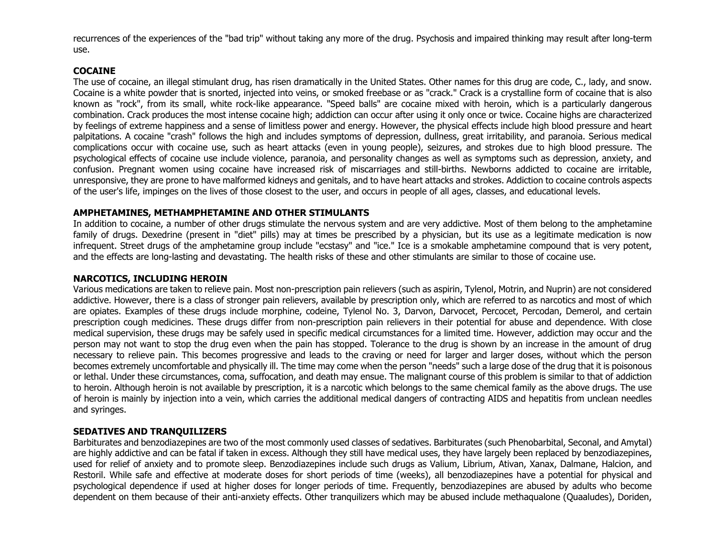recurrences of the experiences of the "bad trip" without taking any more of the drug. Psychosis and impaired thinking may result after long-term use.

#### **COCAINE**

The use of cocaine, an illegal stimulant drug, has risen dramatically in the United States. Other names for this drug are code, C., lady, and snow. Cocaine is a white powder that is snorted, injected into veins, or smoked freebase or as "crack." Crack is a crystalline form of cocaine that is also known as "rock", from its small, white rock-like appearance. "Speed balls" are cocaine mixed with heroin, which is a particularly dangerous combination. Crack produces the most intense cocaine high; addiction can occur after using it only once or twice. Cocaine highs are characterized by feelings of extreme happiness and a sense of limitless power and energy. However, the physical effects include high blood pressure and heart palpitations. A cocaine "crash" follows the high and includes symptoms of depression, dullness, great irritability, and paranoia. Serious medical complications occur with cocaine use, such as heart attacks (even in young people), seizures, and strokes due to high blood pressure. The psychological effects of cocaine use include violence, paranoia, and personality changes as well as symptoms such as depression, anxiety, and confusion. Pregnant women using cocaine have increased risk of miscarriages and still-births. Newborns addicted to cocaine are irritable, unresponsive, they are prone to have malformed kidneys and genitals, and to have heart attacks and strokes. Addiction to cocaine controls aspects of the user's life, impinges on the lives of those closest to the user, and occurs in people of all ages, classes, and educational levels.

### **AMPHETAMINES, METHAMPHETAMINE AND OTHER STIMULANTS**

In addition to cocaine, a number of other drugs stimulate the nervous system and are very addictive. Most of them belong to the amphetamine family of drugs. Dexedrine (present in "diet" pills) may at times be prescribed by a physician, but its use as a legitimate medication is now infrequent. Street drugs of the amphetamine group include "ecstasy" and "ice." Ice is a smokable amphetamine compound that is very potent, and the effects are long-lasting and devastating. The health risks of these and other stimulants are similar to those of cocaine use.

#### **NARCOTICS, INCLUDING HEROIN**

Various medications are taken to relieve pain. Most non-prescription pain relievers (such as aspirin, Tylenol, Motrin, and Nuprin) are not considered addictive. However, there is a class of stronger pain relievers, available by prescription only, which are referred to as narcotics and most of which are opiates. Examples of these drugs include morphine, codeine, Tylenol No. 3, Darvon, Darvocet, Percocet, Percodan, Demerol, and certain prescription cough medicines. These drugs differ from non-prescription pain relievers in their potential for abuse and dependence. With close medical supervision, these drugs may be safely used in specific medical circumstances for a limited time. However, addiction may occur and the person may not want to stop the drug even when the pain has stopped. Tolerance to the drug is shown by an increase in the amount of drug necessary to relieve pain. This becomes progressive and leads to the craving or need for larger and larger doses, without which the person becomes extremely uncomfortable and physically ill. The time may come when the person "needs" such a large dose of the drug that it is poisonous or lethal. Under these circumstances, coma, suffocation, and death may ensue. The malignant course of this problem is similar to that of addiction to heroin. Although heroin is not available by prescription, it is a narcotic which belongs to the same chemical family as the above drugs. The use of heroin is mainly by injection into a vein, which carries the additional medical dangers of contracting AIDS and hepatitis from unclean needles and syringes.

#### **SEDATIVES AND TRANQUILIZERS**

Barbiturates and benzodiazepines are two of the most commonly used classes of sedatives. Barbiturates (such Phenobarbital, Seconal, and Amytal) are highly addictive and can be fatal if taken in excess. Although they still have medical uses, they have largely been replaced by benzodiazepines, used for relief of anxiety and to promote sleep. Benzodiazepines include such drugs as Valium, Librium, Ativan, Xanax, Dalmane, Halcion, and Restoril. While safe and effective at moderate doses for short periods of time (weeks), all benzodiazepines have a potential for physical and psychological dependence if used at higher doses for longer periods of time. Frequently, benzodiazepines are abused by adults who become dependent on them because of their anti-anxiety effects. Other tranquilizers which may be abused include methaqualone (Quaaludes), Doriden,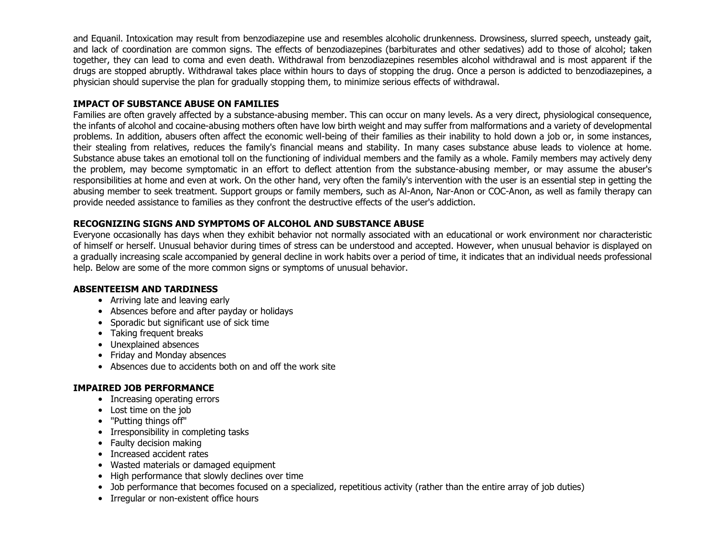and Equanil. Intoxication may result from benzodiazepine use and resembles alcoholic drunkenness. Drowsiness, slurred speech, unsteady gait, and lack of coordination are common signs. The effects of benzodiazepines (barbiturates and other sedatives) add to those of alcohol; taken together, they can lead to coma and even death. Withdrawal from benzodiazepines resembles alcohol withdrawal and is most apparent if the drugs are stopped abruptly. Withdrawal takes place within hours to days of stopping the drug. Once a person is addicted to benzodiazepines, a physician should supervise the plan for gradually stopping them, to minimize serious effects of withdrawal.

### **IMPACT OF SUBSTANCE ABUSE ON FAMILIES**

Families are often gravely affected by a substance-abusing member. This can occur on many levels. As a very direct, physiological consequence, the infants of alcohol and cocaine-abusing mothers often have low birth weight and may suffer from malformations and a variety of developmental problems. In addition, abusers often affect the economic well-being of their families as their inability to hold down a job or, in some instances, their stealing from relatives, reduces the family's financial means and stability. In many cases substance abuse leads to violence at home. Substance abuse takes an emotional toll on the functioning of individual members and the family as a whole. Family members may actively deny the problem, may become symptomatic in an effort to deflect attention from the substance-abusing member, or may assume the abuser's responsibilities at home and even at work. On the other hand, very often the family's intervention with the user is an essential step in getting the abusing member to seek treatment. Support groups or family members, such as Al-Anon, Nar-Anon or COC-Anon, as well as family therapy can provide needed assistance to families as they confront the destructive effects of the user's addiction.

## **RECOGNIZING SIGNS AND SYMPTOMS OF ALCOHOL AND SUBSTANCE ABUSE**

Everyone occasionally has days when they exhibit behavior not normally associated with an educational or work environment nor characteristic of himself or herself. Unusual behavior during times of stress can be understood and accepted. However, when unusual behavior is displayed on a gradually increasing scale accompanied by general decline in work habits over a period of time, it indicates that an individual needs professional help. Below are some of the more common signs or symptoms of unusual behavior.

#### **ABSENTEEISM AND TARDINESS**

- Arriving late and leaving early
- Absences before and after payday or holidays
- Sporadic but significant use of sick time
- Taking frequent breaks
- Unexplained absences
- Friday and Monday absences
- Absences due to accidents both on and off the work site

#### **IMPAIRED JOB PERFORMANCE**

- Increasing operating errors
- Lost time on the job
- "Putting things off"
- Irresponsibility in completing tasks
- Faulty decision making
- Increased accident rates
- Wasted materials or damaged equipment
- High performance that slowly declines over time
- Job performance that becomes focused on a specialized, repetitious activity (rather than the entire array of job duties)
- Irregular or non-existent office hours